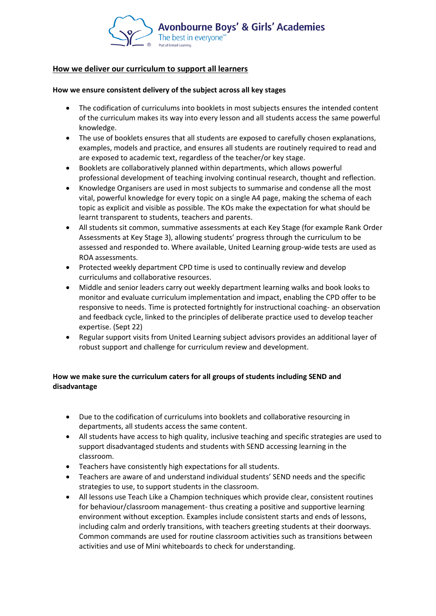

#### **How we deliver our curriculum to support all learners**

#### **How we ensure consistent delivery of the subject across all key stages**

- The codification of curriculums into booklets in most subjects ensures the intended content of the curriculum makes its way into every lesson and all students access the same powerful knowledge.
- The use of booklets ensures that all students are exposed to carefully chosen explanations, examples, models and practice, and ensures all students are routinely required to read and are exposed to academic text, regardless of the teacher/or key stage.
- Booklets are collaboratively planned within departments, which allows powerful professional development of teaching involving continual research, thought and reflection.
- Knowledge Organisers are used in most subjects to summarise and condense all the most vital, powerful knowledge for every topic on a single A4 page, making the schema of each topic as explicit and visible as possible. The KOs make the expectation for what should be learnt transparent to students, teachers and parents.
- All students sit common, summative assessments at each Key Stage (for example Rank Order Assessments at Key Stage 3), allowing students' progress through the curriculum to be assessed and responded to. Where available, United Learning group-wide tests are used as ROA assessments.
- Protected weekly department CPD time is used to continually review and develop curriculums and collaborative resources.
- Middle and senior leaders carry out weekly department learning walks and book looks to monitor and evaluate curriculum implementation and impact, enabling the CPD offer to be responsive to needs. Time is protected fortnightly for instructional coaching- an observation and feedback cycle, linked to the principles of deliberate practice used to develop teacher expertise. (Sept 22)
- Regular support visits from United Learning subject advisors provides an additional layer of robust support and challenge for curriculum review and development.

## **How we make sure the curriculum caters for all groups of students including SEND and disadvantage**

- Due to the codification of curriculums into booklets and collaborative resourcing in departments, all students access the same content.
- All students have access to high quality, inclusive teaching and specific strategies are used to support disadvantaged students and students with SEND accessing learning in the classroom.
- Teachers have consistently high expectations for all students.
- Teachers are aware of and understand individual students' SEND needs and the specific strategies to use, to support students in the classroom.
- All lessons use Teach Like a Champion techniques which provide clear, consistent routines for behaviour/classroom management- thus creating a positive and supportive learning environment without exception. Examples include consistent starts and ends of lessons, including calm and orderly transitions, with teachers greeting students at their doorways. Common commands are used for routine classroom activities such as transitions between activities and use of Mini whiteboards to check for understanding.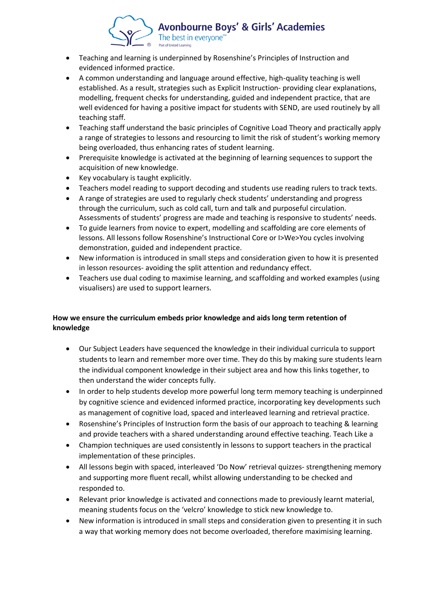

- Teaching and learning is underpinned by Rosenshine's Principles of Instruction and evidenced informed practice.
- A common understanding and language around effective, high-quality teaching is well established. As a result, strategies such as Explicit Instruction- providing clear explanations, modelling, frequent checks for understanding, guided and independent practice, that are well evidenced for having a positive impact for students with SEND, are used routinely by all teaching staff.
- Teaching staff understand the basic principles of Cognitive Load Theory and practically apply a range of strategies to lessons and resourcing to limit the risk of student's working memory being overloaded, thus enhancing rates of student learning.
- Prerequisite knowledge is activated at the beginning of learning sequences to support the acquisition of new knowledge.
- Key vocabulary is taught explicitly.
- Teachers model reading to support decoding and students use reading rulers to track texts.
- A range of strategies are used to regularly check students' understanding and progress through the curriculum, such as cold call, turn and talk and purposeful circulation. Assessments of students' progress are made and teaching is responsive to students' needs.
- To guide learners from novice to expert, modelling and scaffolding are core elements of lessons. All lessons follow Rosenshine's Instructional Core or I>We>You cycles involving demonstration, guided and independent practice.
- New information is introduced in small steps and consideration given to how it is presented in lesson resources- avoiding the split attention and redundancy effect.
- Teachers use dual coding to maximise learning, and scaffolding and worked examples (using visualisers) are used to support learners.

## **How we ensure the curriculum embeds prior knowledge and aids long term retention of knowledge**

- Our Subject Leaders have sequenced the knowledge in their individual curricula to support students to learn and remember more over time. They do this by making sure students learn the individual component knowledge in their subject area and how this links together, to then understand the wider concepts fully.
- In order to help students develop more powerful long term memory teaching is underpinned by cognitive science and evidenced informed practice, incorporating key developments such as management of cognitive load, spaced and interleaved learning and retrieval practice.
- Rosenshine's Principles of Instruction form the basis of our approach to teaching & learning and provide teachers with a shared understanding around effective teaching. Teach Like a
- Champion techniques are used consistently in lessons to support teachers in the practical implementation of these principles.
- All lessons begin with spaced, interleaved 'Do Now' retrieval quizzes- strengthening memory and supporting more fluent recall, whilst allowing understanding to be checked and responded to.
- Relevant prior knowledge is activated and connections made to previously learnt material, meaning students focus on the 'velcro' knowledge to stick new knowledge to.
- New information is introduced in small steps and consideration given to presenting it in such a way that working memory does not become overloaded, therefore maximising learning.